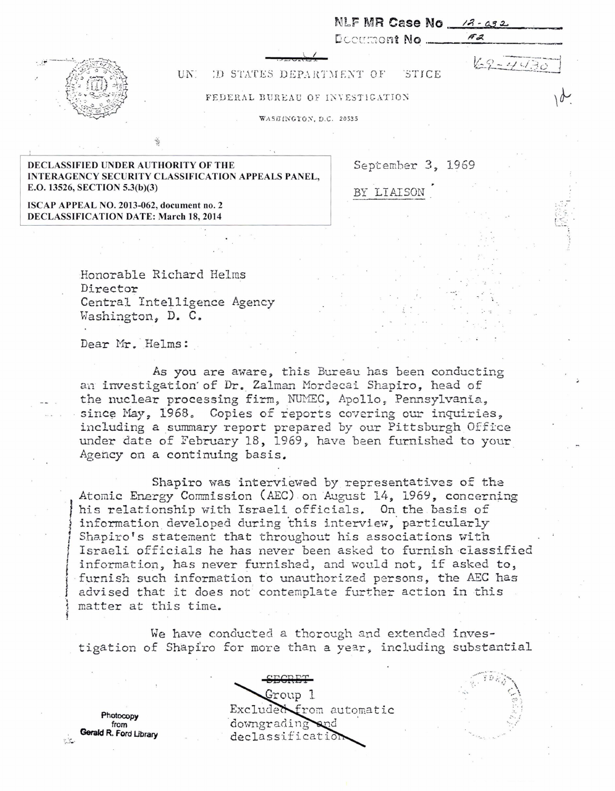

## UN: D STATES DEPARTMENT OF STICE

## FEDERAL BUREAU OF INVESTIGATION

WASEINGTON, D.C. 20535

DECLASSIFIED UNDER AUTHORITY OF THE September 3, 1969 INTERAGENCY SECURITY CLASSIFICATION APPEALS PANEL, E.O. 13526, SECTION 5.3(b)(3) BY LIAISON

NLF MR Case No  $\frac{12}{11}$ Dc:=.'c':-:.--:o nt No . · /F".;~.

 $69 - 443$ 

ISCAP APPEAL NO. 2013-062, document no. 2 DECLASSIFICATION DATE: March 18, 2014

> Honorable Richard Helms Director Central Intelligence Agency Washington, D. C.

Dear Mr. Helms:

As you are aware, this Bureau has been conducting an investigation of Dr. Zalman Mordecai Shapiro, head of the nuclear processing firm, NUMEC, Apollo, Pennsylvania, since May, 1968. Copies of reports covering our inquiries. including a summary report prepared by our Pittsburgh Office under date of February 18, 1969, have been furnished to your Agency on a continuing basis.

Shapiro was interviewed by representatives of the Atomic Energy Commission (AEC) on August 14, 1969, concerning his relationship with Israeli officials. On the basis of information developed during this interview, particularly Shapiro's statement that throughout his associations with Israeli officials he has never been asked to furnish classified information, has never furnished, and would not, if asked to. furnish such information to unauthorized persons, the AEC has advised that it does not contemplate further action in this matter at this time.

We have conducted a thorough and extended investigation of Shapiro for more than a year, including substantial

Gerald R. Ford Ubrary

eEGRET roup 1 Photocopy Excluded from automatic form  $\alpha$ <br>from downgrading and downgrading Gerald R. Ford Library declassification

 $\mathbb{R}^3$ '·:· ....

 $' \wedge_{n \geq 0}$